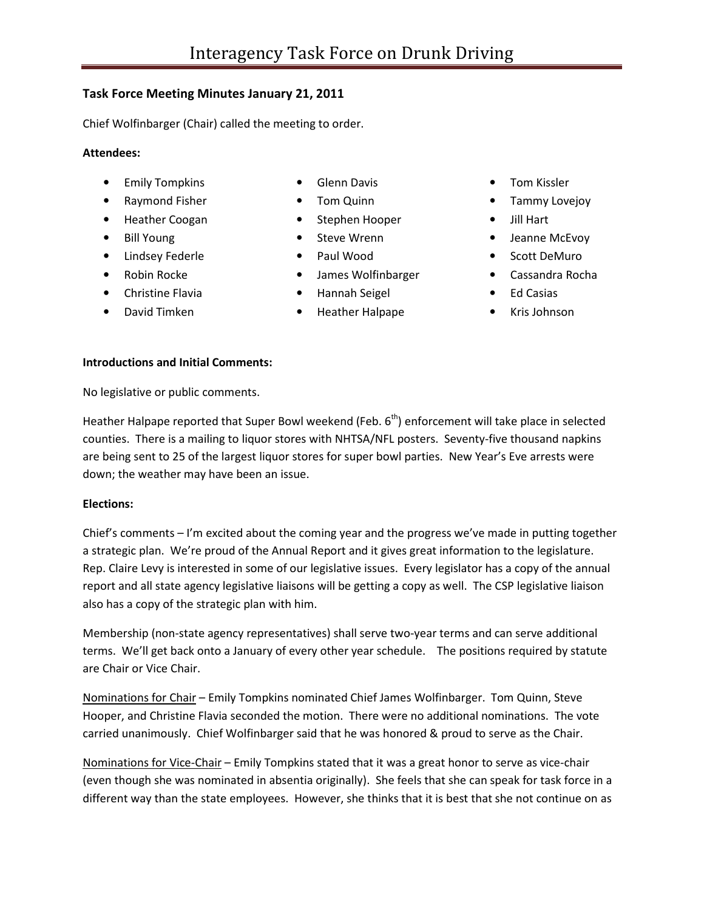# **Task Force Meeting Minutes January 21, 2011**

Chief Wolfinbarger (Chair) called the meeting to order.

#### **Attendees:**

- Emily Tompkins
- Raymond Fisher
- Heather Coogan
- Bill Young
- Lindsey Federle
- Robin Rocke
- Christine Flavia
- David Timken
- Glenn Davis
- Tom Quinn
- Stephen Hooper
- Steve Wrenn
- Paul Wood
- James Wolfinbarger
- Hannah Seigel
- Heather Halpape
- Tom Kissler
- Tammy Lovejoy
- Jill Hart
- Jeanne McEvoy
- Scott DeMuro
- Cassandra Rocha
- Ed Casias
- Kris Johnson

#### **Introductions and Initial Comments:**

No legislative or public comments.

Heather Halpape reported that Super Bowl weekend (Feb.  $6<sup>th</sup>$ ) enforcement will take place in selected counties. There is a mailing to liquor stores with NHTSA/NFL posters. Seventy-five thousand napkins are being sent to 25 of the largest liquor stores for super bowl parties. New Year's Eve arrests were down; the weather may have been an issue.

## **Elections:**

Chief's comments  $-1$ 'm excited about the coming year and the progress we've made in putting together a strategic plan. We're proud of the Annual Report and it gives great information to the legislature. Rep. Claire Levy is interested in some of our legislative issues. Every legislator has a copy of the annual report and all state agency legislative liaisons will be getting a copy as well. The CSP legislative liaison also has a copy of the strategic plan with him.

Membership (non-state agency representatives) shall serve two-year terms and can serve additional terms. We'll get back onto a January of every other year schedule. The positions required by statute are Chair or Vice Chair.

Nominations for Chair – Emily Tompkins nominated Chief James Wolfinbarger. Tom Quinn, Steve Hooper, and Christine Flavia seconded the motion. There were no additional nominations. The vote carried unanimously. Chief Wolfinbarger said that he was honored & proud to serve as the Chair.

Nominations for Vice-Chair – Emily Tompkins stated that it was a great honor to serve as vice-chair (even though she was nominated in absentia originally). She feels that she can speak for task force in a different way than the state employees. However, she thinks that it is best that she not continue on as

- -
	-
	-
	-
	-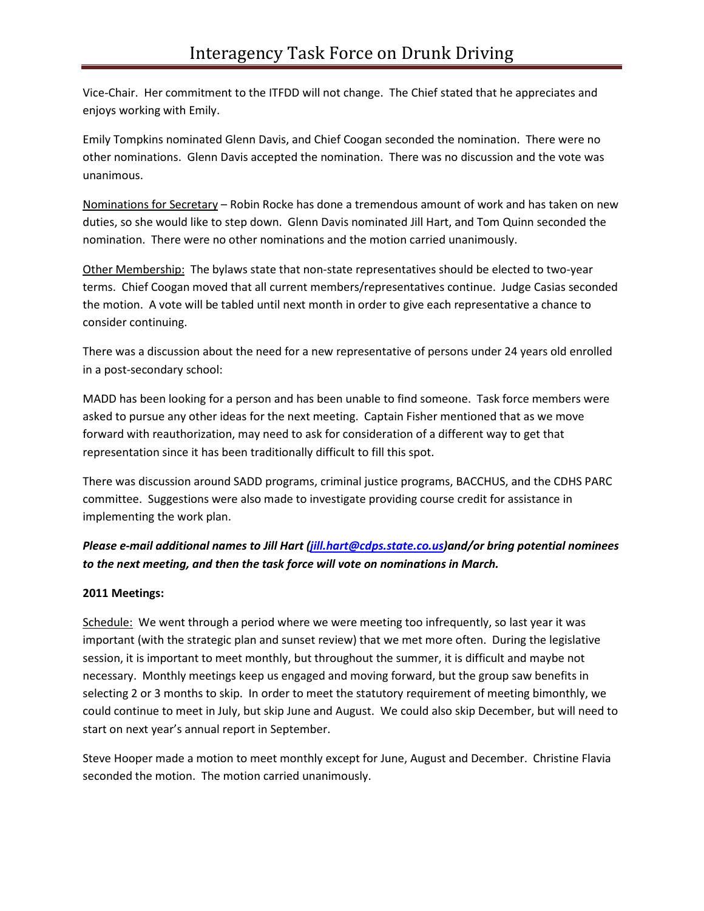Vice-Chair. Her commitment to the ITFDD will not change. The Chief stated that he appreciates and enjoys working with Emily.

Emily Tompkins nominated Glenn Davis, and Chief Coogan seconded the nomination. There were no other nominations. Glenn Davis accepted the nomination. There was no discussion and the vote was unanimous.

Nominations for Secretary – Robin Rocke has done a tremendous amount of work and has taken on new duties, so she would like to step down. Glenn Davis nominated Jill Hart, and Tom Quinn seconded the nomination. There were no other nominations and the motion carried unanimously.

Other Membership: The bylaws state that non-state representatives should be elected to two-year terms. Chief Coogan moved that all current members/representatives continue. Judge Casias seconded the motion. A vote will be tabled until next month in order to give each representative a chance to consider continuing.

There was a discussion about the need for a new representative of persons under 24 years old enrolled in a post-secondary school:

MADD has been looking for a person and has been unable to find someone. Task force members were asked to pursue any other ideas for the next meeting. Captain Fisher mentioned that as we move forward with reauthorization, may need to ask for consideration of a different way to get that representation since it has been traditionally difficult to fill this spot.

There was discussion around SADD programs, criminal justice programs, BACCHUS, and the CDHS PARC committee. Suggestions were also made to investigate providing course credit for assistance in implementing the work plan.

# *Please e-mail additional names to Jill Hart (jill.hart@cdps.state.co.us)and/or bring potential nominees to the next meeting, and then the task force will vote on nominations in March.*

## **2011 Meetings:**

Schedule: We went through a period where we were meeting too infrequently, so last year it was important (with the strategic plan and sunset review) that we met more often. During the legislative session, it is important to meet monthly, but throughout the summer, it is difficult and maybe not necessary. Monthly meetings keep us engaged and moving forward, but the group saw benefits in selecting 2 or 3 months to skip. In order to meet the statutory requirement of meeting bimonthly, we could continue to meet in July, but skip June and August. We could also skip December, but will need to start on next year's annual report in September.

Steve Hooper made a motion to meet monthly except for June, August and December. Christine Flavia seconded the motion. The motion carried unanimously.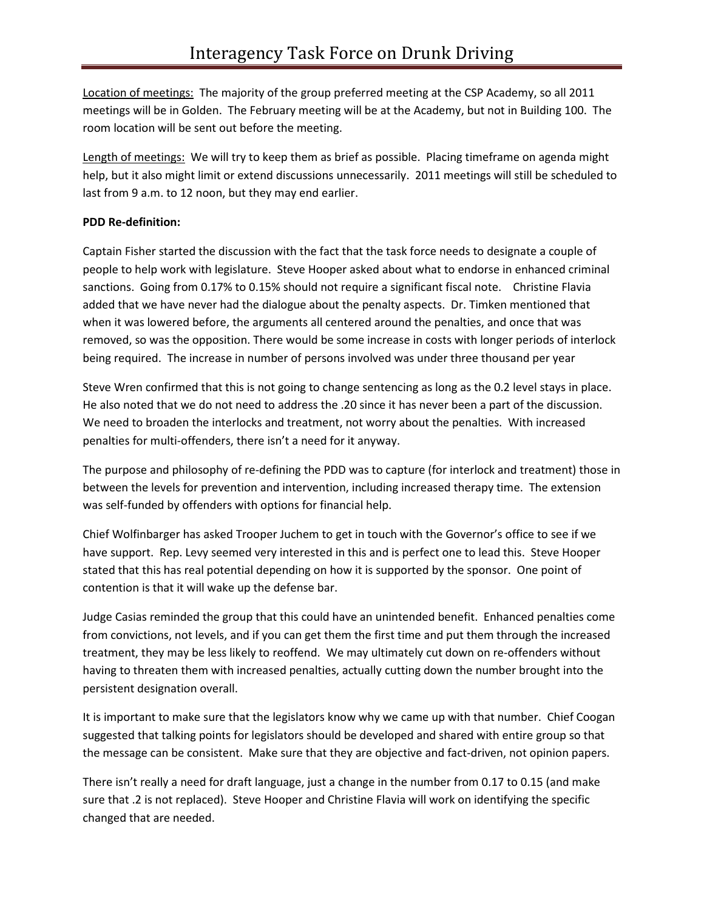Location of meetings: The majority of the group preferred meeting at the CSP Academy, so all 2011 meetings will be in Golden. The February meeting will be at the Academy, but not in Building 100. The room location will be sent out before the meeting.

Length of meetings: We will try to keep them as brief as possible. Placing timeframe on agenda might help, but it also might limit or extend discussions unnecessarily. 2011 meetings will still be scheduled to last from 9 a.m. to 12 noon, but they may end earlier.

# **PDD Re-definition:**

Captain Fisher started the discussion with the fact that the task force needs to designate a couple of people to help work with legislature. Steve Hooper asked about what to endorse in enhanced criminal sanctions. Going from 0.17% to 0.15% should not require a significant fiscal note. Christine Flavia added that we have never had the dialogue about the penalty aspects. Dr. Timken mentioned that when it was lowered before, the arguments all centered around the penalties, and once that was removed, so was the opposition. There would be some increase in costs with longer periods of interlock being required. The increase in number of persons involved was under three thousand per year

Steve Wren confirmed that this is not going to change sentencing as long as the 0.2 level stays in place. He also noted that we do not need to address the .20 since it has never been a part of the discussion. We need to broaden the interlocks and treatment, not worry about the penalties. With increased penalties for multi-offenders, there isn't a need for it anyway.

The purpose and philosophy of re-defining the PDD was to capture (for interlock and treatment) those in between the levels for prevention and intervention, including increased therapy time. The extension was self-funded by offenders with options for financial help.

Chief Wolfinbarger has asked Trooper Juchem to get in touch with the Governor's office to see if we have support. Rep. Levy seemed very interested in this and is perfect one to lead this. Steve Hooper stated that this has real potential depending on how it is supported by the sponsor. One point of contention is that it will wake up the defense bar.

Judge Casias reminded the group that this could have an unintended benefit. Enhanced penalties come from convictions, not levels, and if you can get them the first time and put them through the increased treatment, they may be less likely to reoffend. We may ultimately cut down on re-offenders without having to threaten them with increased penalties, actually cutting down the number brought into the persistent designation overall.

It is important to make sure that the legislators know why we came up with that number. Chief Coogan suggested that talking points for legislators should be developed and shared with entire group so that the message can be consistent. Make sure that they are objective and fact-driven, not opinion papers.

There isn't really a need for draft language, just a change in the number from 0.17 to 0.15 (and make sure that .2 is not replaced). Steve Hooper and Christine Flavia will work on identifying the specific changed that are needed.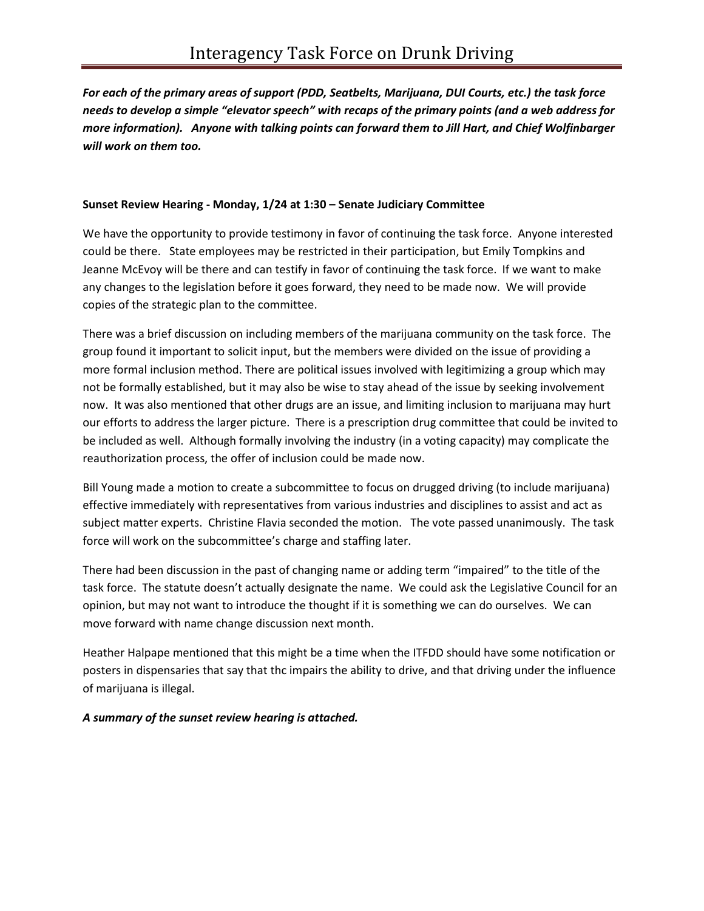*For each of the primary areas of support (PDD, Seatbelts, Marijuana, DUI Courts, etc.) the task force needs to develop a simple "elevator speech" with recaps of the primary points (and a web address for more information). Anyone with talking points can forward them to Jill Hart, and Chief Wolfinbarger will work on them too.* 

## **Sunset Review Hearing - Monday, 1/24 at 1:30 – Senate Judiciary Committee**

We have the opportunity to provide testimony in favor of continuing the task force. Anyone interested could be there. State employees may be restricted in their participation, but Emily Tompkins and Jeanne McEvoy will be there and can testify in favor of continuing the task force. If we want to make any changes to the legislation before it goes forward, they need to be made now. We will provide copies of the strategic plan to the committee.

There was a brief discussion on including members of the marijuana community on the task force. The group found it important to solicit input, but the members were divided on the issue of providing a more formal inclusion method. There are political issues involved with legitimizing a group which may not be formally established, but it may also be wise to stay ahead of the issue by seeking involvement now. It was also mentioned that other drugs are an issue, and limiting inclusion to marijuana may hurt our efforts to address the larger picture. There is a prescription drug committee that could be invited to be included as well. Although formally involving the industry (in a voting capacity) may complicate the reauthorization process, the offer of inclusion could be made now.

Bill Young made a motion to create a subcommittee to focus on drugged driving (to include marijuana) effective immediately with representatives from various industries and disciplines to assist and act as subject matter experts. Christine Flavia seconded the motion. The vote passed unanimously. The task force will work on the subcommittee's charge and staffing later.

There had been discussion in the past of changing name or adding term "impaired" to the title of the task force. The statute doesn't actually designate the name. We could ask the Legislative Council for an opinion, but may not want to introduce the thought if it is something we can do ourselves. We can move forward with name change discussion next month.

Heather Halpape mentioned that this might be a time when the ITFDD should have some notification or posters in dispensaries that say that thc impairs the ability to drive, and that driving under the influence of marijuana is illegal.

## *A summary of the sunset review hearing is attached.*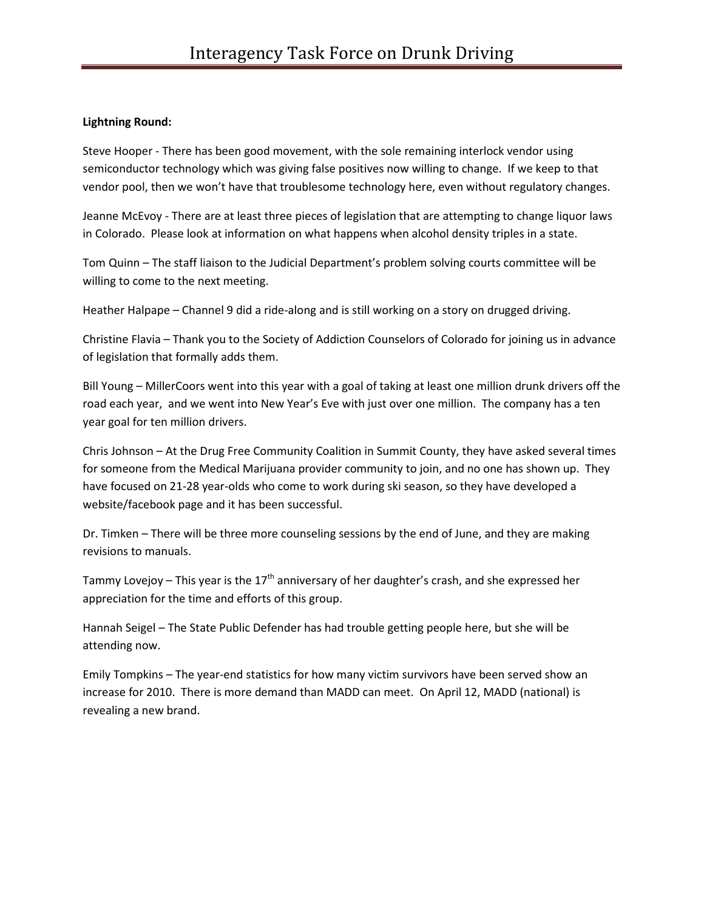## **Lightning Round:**

Steve Hooper - There has been good movement, with the sole remaining interlock vendor using semiconductor technology which was giving false positives now willing to change. If we keep to that vendor pool, then we won't have that troublesome technology here, even without regulatory changes.

Jeanne McEvoy - There are at least three pieces of legislation that are attempting to change liquor laws in Colorado. Please look at information on what happens when alcohol density triples in a state.

Tom Quinn – The staff liaison to the Judicial Department's problem solving courts committee will be willing to come to the next meeting.

Heather Halpape – Channel 9 did a ride-along and is still working on a story on drugged driving.

Christine Flavia – Thank you to the Society of Addiction Counselors of Colorado for joining us in advance of legislation that formally adds them.

Bill Young – MillerCoors went into this year with a goal of taking at least one million drunk drivers off the road each year, and we went into New Year's Eve with just over one million. The company has a ten year goal for ten million drivers.

Chris Johnson – At the Drug Free Community Coalition in Summit County, they have asked several times for someone from the Medical Marijuana provider community to join, and no one has shown up. They have focused on 21-28 year-olds who come to work during ski season, so they have developed a website/facebook page and it has been successful.

Dr. Timken – There will be three more counseling sessions by the end of June, and they are making revisions to manuals.

Tammy Lovejoy – This year is the  $17<sup>th</sup>$  anniversary of her daughter's crash, and she expressed her appreciation for the time and efforts of this group.

Hannah Seigel – The State Public Defender has had trouble getting people here, but she will be attending now.

Emily Tompkins – The year-end statistics for how many victim survivors have been served show an increase for 2010. There is more demand than MADD can meet. On April 12, MADD (national) is revealing a new brand.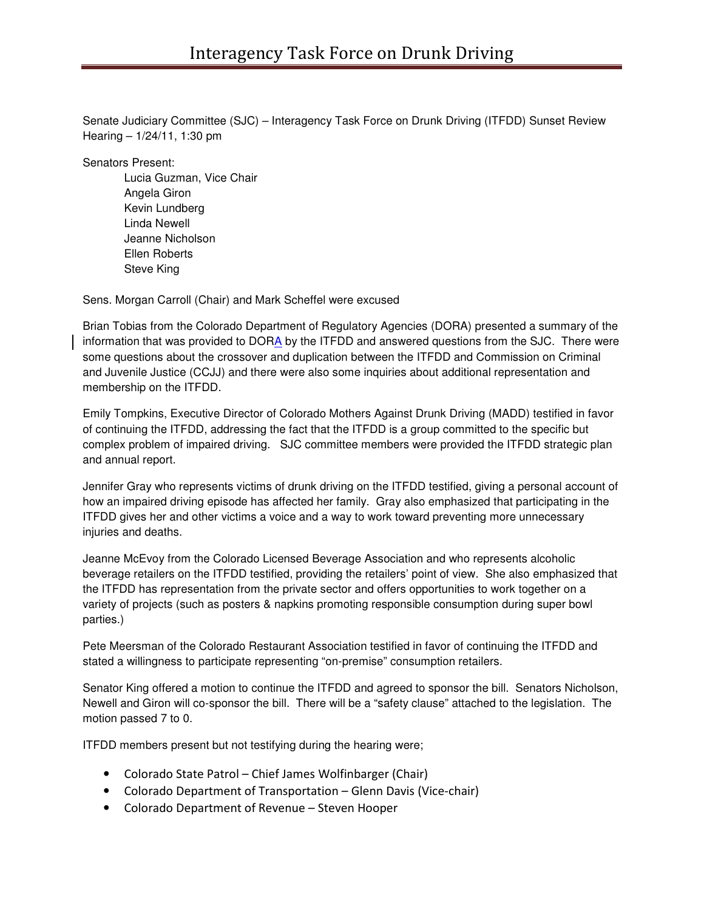Senate Judiciary Committee (SJC) – Interagency Task Force on Drunk Driving (ITFDD) Sunset Review Hearing – 1/24/11, 1:30 pm

Senators Present:

Lucia Guzman, Vice Chair Angela Giron Kevin Lundberg Linda Newell Jeanne Nicholson Ellen Roberts Steve King

Sens. Morgan Carroll (Chair) and Mark Scheffel were excused

Brian Tobias from the Colorado Department of Regulatory Agencies (DORA) presented a summary of the information that was provided to DORA by the ITFDD and answered questions from the SJC. There were some questions about the crossover and duplication between the ITFDD and Commission on Criminal and Juvenile Justice (CCJJ) and there were also some inquiries about additional representation and membership on the ITFDD.

Emily Tompkins, Executive Director of Colorado Mothers Against Drunk Driving (MADD) testified in favor of continuing the ITFDD, addressing the fact that the ITFDD is a group committed to the specific but complex problem of impaired driving. SJC committee members were provided the ITFDD strategic plan and annual report.

Jennifer Gray who represents victims of drunk driving on the ITFDD testified, giving a personal account of how an impaired driving episode has affected her family. Gray also emphasized that participating in the ITFDD gives her and other victims a voice and a way to work toward preventing more unnecessary injuries and deaths.

Jeanne McEvoy from the Colorado Licensed Beverage Association and who represents alcoholic beverage retailers on the ITFDD testified, providing the retailers' point of view. She also emphasized that the ITFDD has representation from the private sector and offers opportunities to work together on a variety of projects (such as posters & napkins promoting responsible consumption during super bowl parties.)

Pete Meersman of the Colorado Restaurant Association testified in favor of continuing the ITFDD and stated a willingness to participate representing "on-premise" consumption retailers.

Senator King offered a motion to continue the ITFDD and agreed to sponsor the bill. Senators Nicholson, Newell and Giron will co-sponsor the bill. There will be a "safety clause" attached to the legislation. The motion passed 7 to 0.

ITFDD members present but not testifying during the hearing were;

- Colorado State Patrol Chief James Wolfinbarger (Chair)
- Colorado Department of Transportation Glenn Davis (Vice-chair)
- Colorado Department of Revenue Steven Hooper